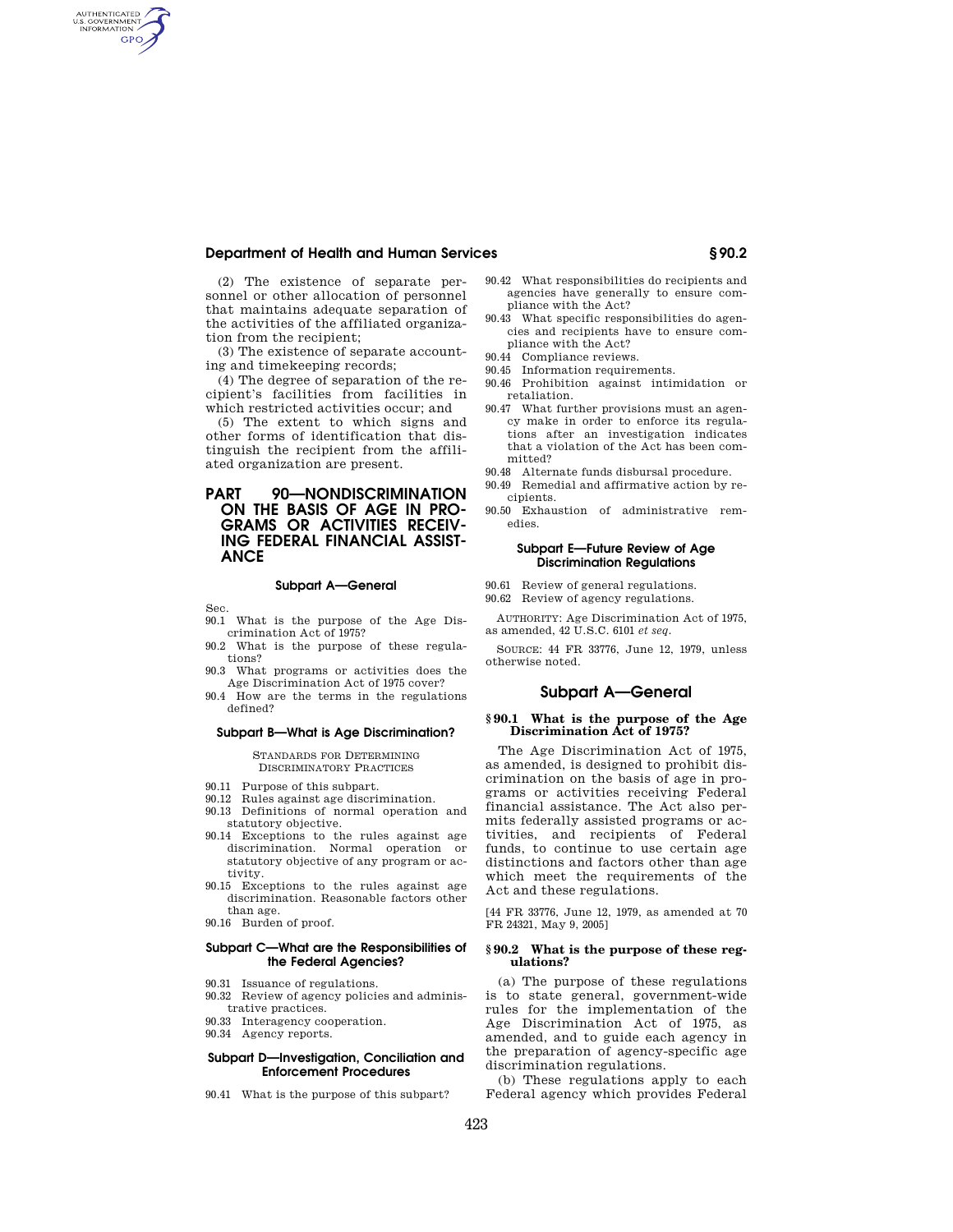# **Department of Health and Human Services § 90.2**

(2) The existence of separate personnel or other allocation of personnel that maintains adequate separation of the activities of the affiliated organization from the recipient;

(3) The existence of separate accounting and timekeeping records;

(4) The degree of separation of the recipient's facilities from facilities in which restricted activities occur; and

(5) The extent to which signs and other forms of identification that distinguish the recipient from the affiliated organization are present.

# **PART 90—NONDISCRIMINATION ON THE BASIS OF AGE IN PRO-GRAMS OR ACTIVITIES RECEIV-ING FEDERAL FINANCIAL ASSIST-ANCE**

#### **Subpart A—General**

Sec.

AUTHENTICATED<br>U.S. GOVERNMENT<br>INFORMATION **GPO** 

- 90.1 What is the purpose of the Age Discrimination Act of 1975?
- 90.2 What is the purpose of these regulations?
- 90.3 What programs or activities does the Age Discrimination Act of 1975 cover?
- 90.4 How are the terms in the regulations defined?

## **Subpart B—What is Age Discrimination?**

STANDARDS FOR DETERMINING DISCRIMINATORY PRACTICES

- 90.11 Purpose of this subpart.
- 90.12 Rules against age discrimination.
- 90.13 Definitions of normal operation and
- statutory objective. 90.14 Exceptions to the rules against age discrimination. Normal operation or statutory objective of any program or ac-
- tivity. 90.15 Exceptions to the rules against age discrimination. Reasonable factors other than age.
- 90.16 Burden of proof.

## **Subpart C—What are the Responsibilities of the Federal Agencies?**

- 90.31 Issuance of regulations.
- 90.32 Review of agency policies and administrative practices.
- 90.33 Interagency cooperation.
- 90.34 Agency reports.

## **Subpart D—Investigation, Conciliation and Enforcement Procedures**

90.41 What is the purpose of this subpart?

- 90.42 What responsibilities do recipients and agencies have generally to ensure compliance with the Act?
- 90.43 What specific responsibilities do agencies and recipients have to ensure compliance with the Act?
- 90.44 Compliance reviews.
- 90.45 Information requirements.
- 90.46 Prohibition against intimidation or retaliation.
- 90.47 What further provisions must an agency make in order to enforce its regulations after an investigation indicates that a violation of the Act has been committed?
- 90.48 Alternate funds disbursal procedure.
- 90.49 Remedial and affirmative action by recipients.
- 90.50 Exhaustion of administrative remedies.

### **Subpart E—Future Review of Age Discrimination Regulations**

- 90.61 Review of general regulations.
- 90.62 Review of agency regulations.
- AUTHORITY: Age Discrimination Act of 1975, as amended, 42 U.S.C. 6101 *et seq.*

SOURCE: 44 FR 33776, June 12, 1979, unless otherwise noted.

## **Subpart A—General**

## **§ 90.1 What is the purpose of the Age Discrimination Act of 1975?**

The Age Discrimination Act of 1975, as amended, is designed to prohibit discrimination on the basis of age in programs or activities receiving Federal financial assistance. The Act also permits federally assisted programs or activities, and recipients of Federal funds, to continue to use certain age distinctions and factors other than age which meet the requirements of the Act and these regulations.

[44 FR 33776, June 12, 1979, as amended at 70 FR 24321, May 9, 2005]

### **§ 90.2 What is the purpose of these regulations?**

(a) The purpose of these regulations is to state general, government-wide rules for the implementation of the Age Discrimination Act of 1975, as amended, and to guide each agency in the preparation of agency-specific age discrimination regulations.

(b) These regulations apply to each Federal agency which provides Federal